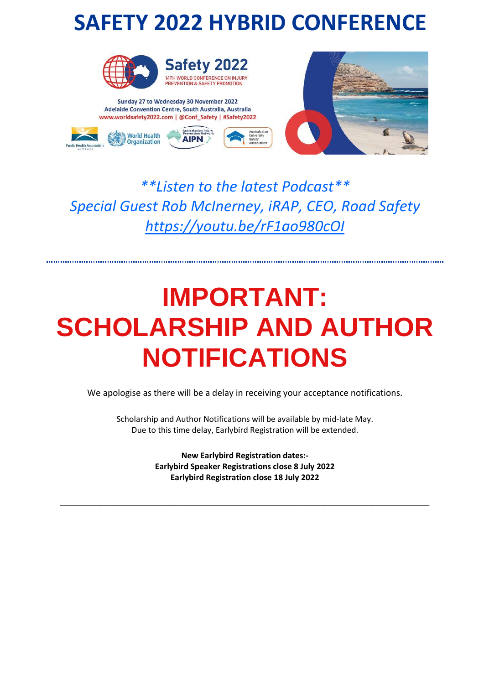## **SAFETY 2022 HYBRID CONFERENCE**



ıstralasian Injury

**AIPN** 

Sunday 27 to Wednesday 30 November 2022 Adelaide Convention Centre, South Australia, Australia www.worldsafety2022.com | @Conf\_Safety | #Safety2022

**World Health** 

Organization



# *\*\*Listen to the latest Podcast\*\* Special Guest Rob McInerney, iRAP, CEO, Road Safety*

*<https://youtu.be/rF1ao980cOI>*

# **IMPORTANT: SCHOLARSHIP AND AUTHOR NOTIFICATIONS**

We apologise as there will be a delay in receiving your acceptance notifications.

Scholarship and Author Notifications will be available by mid-late May. Due to this time delay, Earlybird Registration will be extended.

> **New Earlybird Registration dates:- Earlybird Speaker Registrations close 8 July 2022 Earlybird Registration close 18 July 2022**

\_\_\_\_\_\_\_\_\_\_\_\_\_\_\_\_\_\_\_\_\_\_\_\_\_\_\_\_\_\_\_\_\_\_\_\_\_\_\_\_\_\_\_\_\_\_\_\_\_\_\_\_\_\_\_\_\_\_\_\_\_\_\_\_\_\_\_\_\_\_\_\_\_\_\_\_\_\_\_\_\_\_\_\_\_\_\_\_\_\_\_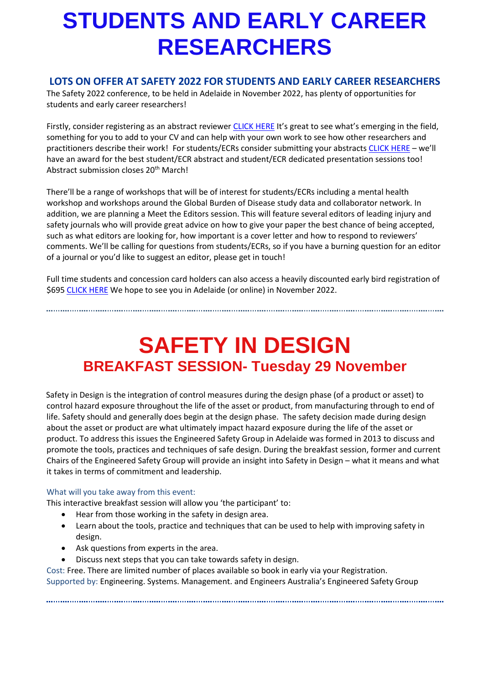# **STUDENTS AND EARLY CAREER RESEARCHERS**

#### **LOTS ON OFFER AT SAFETY 2022 FOR STUDENTS AND EARLY CAREER RESEARCHERS**

The Safety 2022 conference, to be held in Adelaide in November 2022, has plenty of opportunities for students and early career researchers!

Firstly, consider registering as an abstract reviewer [CLICK HERE](https://phaa.eventsair.com/safety2022/reviewers22) It's great to see what's emerging in the field, something for you to add to your CV and can help with your own work to see how other researchers and practitioners describe their work! For students/ECRs consider submitting your abstracts [CLICK HERE](https://phaa.eventsair.com/safety2022/safety22) – we'll have an award for the best student/ECR abstract and student/ECR dedicated presentation sessions too! Abstract submission closes 20<sup>th</sup> March!

There'll be a range of workshops that will be of interest for students/ECRs including a mental health workshop and workshops around the Global Burden of Disease study data and collaborator network. In addition, we are planning a Meet the Editors session. This will feature several editors of leading injury and safety journals who will provide great advice on how to give your paper the best chance of being accepted, such as what editors are looking for, how important is a cover letter and how to respond to reviewers' comments. We'll be calling for questions from students/ECRs, so if you have a burning question for an editor of a journal or you'd like to suggest an editor, please get in touch!

Full time students and concession card holders can also access a heavily discounted early bird registration of \$695 [CLICK HERE](https://phaa.eventsair.com/safety2022/earlyrego) We hope to see you in Adelaide (or online) in November 2022.

### **SAFETY IN DESIGN BREAKFAST SESSION- Tuesday 29 November**

Safety in Design is the integration of control measures during the design phase (of a product or asset) to control hazard exposure throughout the life of the asset or product, from manufacturing through to end of life. Safety should and generally does begin at the design phase. The safety decision made during design about the asset or product are what ultimately impact hazard exposure during the life of the asset or product. To address this issues the Engineered Safety Group in Adelaide was formed in 2013 to discuss and promote the tools, practices and techniques of safe design. During the breakfast session, former and current Chairs of the Engineered Safety Group will provide an insight into Safety in Design – what it means and what it takes in terms of commitment and leadership.

#### What will you take away from this event:

This interactive breakfast session will allow you 'the participant' to:

- Hear from those working in the safety in design area.
- Learn about the tools, practice and techniques that can be used to help with improving safety in design.
- Ask questions from experts in the area.
- Discuss next steps that you can take towards safety in design.

Cost: Free. There are limited number of places available so book in early via your Registration. Supported by: Engineering. Systems. Management. and Engineers Australia's Engineered Safety Group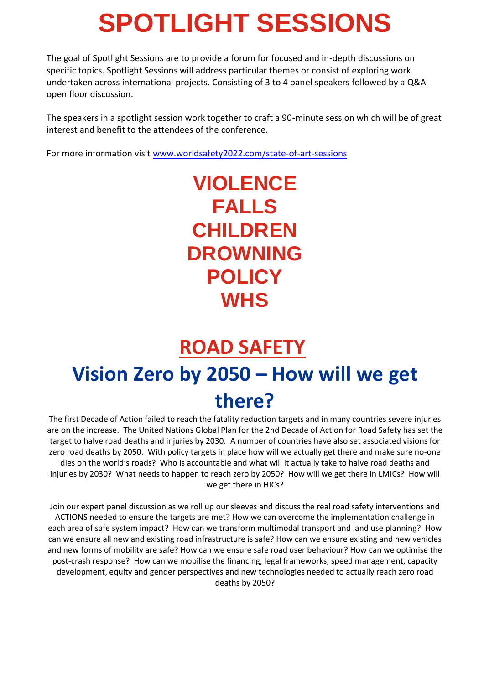# **SPOTLIGHT SESSIONS**

The goal of Spotlight Sessions are to provide a forum for focused and in-depth discussions on specific topics. Spotlight Sessions will address particular themes or consist of exploring work undertaken across international projects. Consisting of 3 to 4 panel speakers followed by a Q&A open floor discussion.

The speakers in a spotlight session work together to craft a 90-minute session which will be of great interest and benefit to the attendees of the conference.

For more information visit [www.worldsafety2022.com/state-of-art-sessions](http://www.worldsafety2022.com/state-of-art-sessions)

### **VIOLENCE FALLS CHILDREN DROWNING POLICY WHS**

# **ROAD SAFETY Vision Zero by 2050 – How will we get there?**

The first Decade of Action failed to reach the fatality reduction targets and in many countries severe injuries are on the increase. The United Nations Global Plan for the 2nd Decade of Action for Road Safety has set the target to halve road deaths and injuries by 2030. A number of countries have also set associated visions for zero road deaths by 2050. With policy targets in place how will we actually get there and make sure no-one dies on the world's roads? Who is accountable and what will it actually take to halve road deaths and injuries by 2030? What needs to happen to reach zero by 2050? How will we get there in LMICs? How will we get there in HICs?

Join our expert panel discussion as we roll up our sleeves and discuss the real road safety interventions and ACTIONS needed to ensure the targets are met? How we can overcome the implementation challenge in each area of safe system impact? How can we transform multimodal transport and land use planning? How can we ensure all new and existing road infrastructure is safe? How can we ensure existing and new vehicles and new forms of mobility are safe? How can we ensure safe road user behaviour? How can we optimise the post-crash response? How can we mobilise the financing, legal frameworks, speed management, capacity development, equity and gender perspectives and new technologies needed to actually reach zero road deaths by 2050?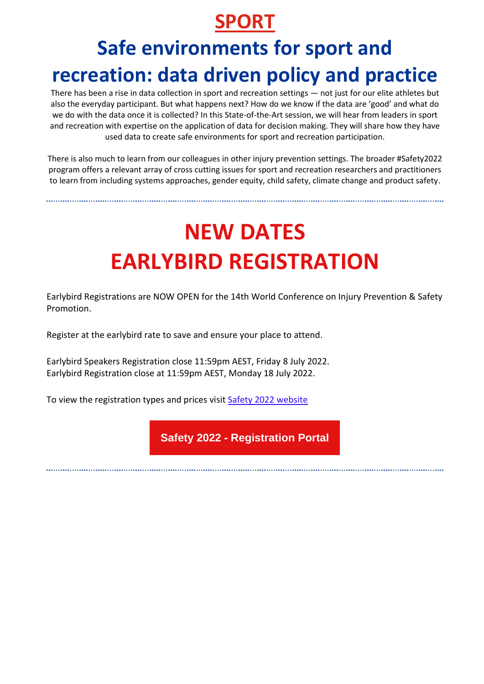#### **SPORT**

## **Safe environments for sport and recreation: data driven policy and practice**

There has been a rise in data collection in sport and recreation settings — not just for our elite athletes but also the everyday participant. But what happens next? How do we know if the data are 'good' and what do we do with the data once it is collected? In this State-of-the-Art session, we will hear from leaders in sport and recreation with expertise on the application of data for decision making. They will share how they have used data to create safe environments for sport and recreation participation.

There is also much to learn from our colleagues in other injury prevention settings. The broader #Safety2022 program offers a relevant array of cross cutting issues for sport and recreation researchers and practitioners to learn from including systems approaches, gender equity, child safety, climate change and product safety.

# **NEW DATES EARLYBIRD REGISTRATION**

Earlybird Registrations are NOW OPEN for the 14th World Conference on Injury Prevention & Safety Promotion.

Register at the earlybird rate to save and ensure your place to attend.

Earlybird Speakers Registration close 11:59pm AEST, Friday 8 July 2022. Earlybird Registration close at 11:59pm AEST, Monday 18 July 2022.

To view the registration types and prices visit [Safety 2022 website](https://aus01.safelinks.protection.outlook.com/?url=https%3A%2F%2Fwww.worldsafety2022.com%2Fregistration&data=04%7C01%7Crichard.franklin%40jcu.edu.au%7C3ef70b6a0f2c41591bbd08da016e3e54%7C30a8c4e81ecd4f148099f73482a7adc0%7C0%7C0%7C637823871031878004%7CUnknown%7CTWFpbGZsb3d8eyJWIjoiMC4wLjAwMDAiLCJQIjoiV2luMzIiLCJBTiI6Ik1haWwiLCJXVCI6Mn0%3D%7C2000&sdata=sMtGFcyd8agslIXR1Jd0ruEcnPncKaS9owSqq%2F3d%2BNY%3D&reserved=0)

**Safety 2022 - [Registration](https://aus01.safelinks.protection.outlook.com/?url=https%3A%2F%2Fphaa.eventsair.com%2Fsafety2022%2Fearlyrego&data=04%7C01%7Crichard.franklin%40jcu.edu.au%7C3ef70b6a0f2c41591bbd08da016e3e54%7C30a8c4e81ecd4f148099f73482a7adc0%7C0%7C0%7C637823871031878004%7CUnknown%7CTWFpbGZsb3d8eyJWIjoiMC4wLjAwMDAiLCJQIjoiV2luMzIiLCJBTiI6Ik1haWwiLCJXVCI6Mn0%3D%7C2000&sdata=FthpipK3H0FgGXD8ZlriMYZNYy8ZerQIuYjsF4Yehu0%3D&reserved=0) Portal**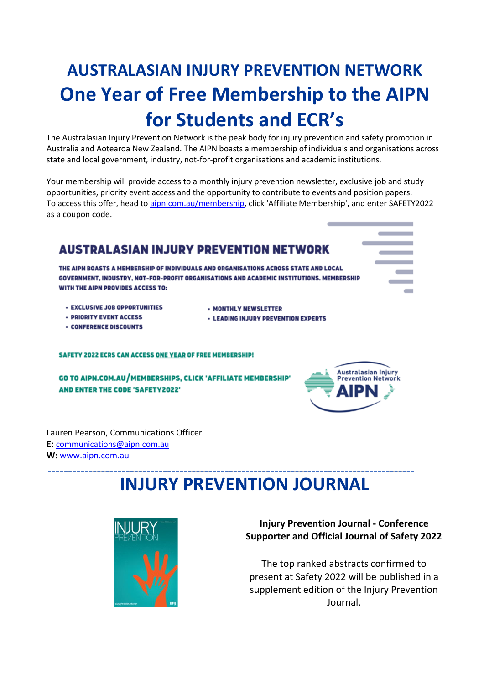### **AUSTRALASIAN INJURY PREVENTION NETWORK One Year of Free Membership to the AIPN for Students and ECR's**

The Australasian Injury Prevention Network is the peak body for injury prevention and safety promotion in Australia and Aotearoa New Zealand. The AIPN boasts a membership of individuals and organisations across state and local government, industry, not-for-profit organisations and academic institutions.

Your membership will provide access to a monthly injury prevention newsletter, exclusive job and study opportunities, priority event access and the opportunity to contribute to events and position papers. To access this offer, head t[o aipn.com.au/membership,](http://aipn.com.au/membership) click 'Affiliate Membership', and enter SAFETY2022 as a coupon code.

#### **AUSTRALASIAN INJURY PREVENTION NETWORK**

THE AIPN BOASTS A MEMBERSHIP OF INDIVIDUALS AND ORGANISATIONS ACROSS STATE AND LOCAL GOVERNMENT, INDUSTRY, NOT-FOR-PROFIT ORGANISATIONS AND ACADEMIC INSTITUTIONS. MEMBERSHIP WITH THE AIPN PROVIDES ACCESS TO:

- **· EXCLUSIVE JOB OPPORTUNITIES**
- MONTHLY NEWSLETTER
- **LEADING INJURY PREVENTION EXPERTS**
- · PRIORITY EVENT ACCESS **• CONFERENCE DISCOUNTS**
- 

**SAFETY 2022 ECRS CAN ACCESS ONE YEAR OF FREE MEMBERSHIP!** 

GO TO AIPN.COM.AU/MEMBERSHIPS, CLICK 'AFFILIATE MEMBERSHIP' **AND ENTER THE CODE 'SAFETY2022'** 



Lauren Pearson, Communications Officer **E:** [communications@aipn.com.au](mailto:communications@aipn.com.au) **W:** [www.aipn.com.au](http://www.aipn.com.au/)

---------------

#### **INJURY PREVENTION JOURNAL**



**Injury Prevention Journal - Conference Supporter and Official Journal of Safety 2022** 

The top ranked abstracts confirmed to present at Safety 2022 will be published in a supplement edition of the Injury Prevention Journal.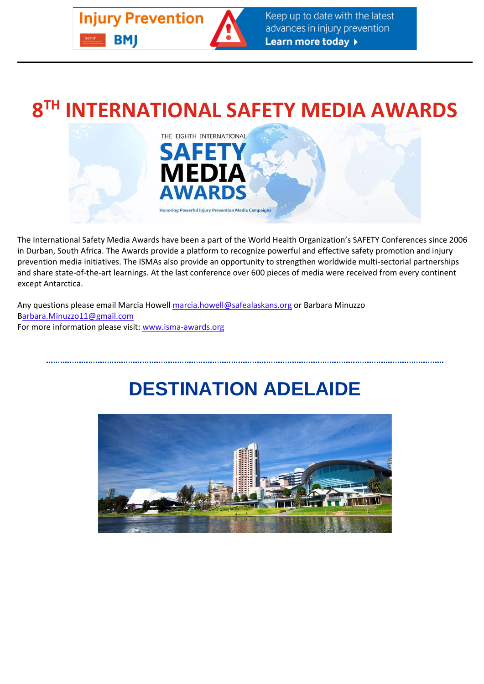

## **8 TH INTERNATIONAL SAFETY MEDIA AWARDS**



The International Safety Media Awards have been a part of the World Health Organization's SAFETY Conferences since 2006 in Durban, South Africa. The Awards provide a platform to recognize powerful and effective safety promotion and injury prevention media initiatives. The ISMAs also provide an opportunity to strengthen worldwide multi-sectorial partnerships and share state-of-the-art learnings. At the last conference over 600 pieces of media were received from every continent except Antarctica.

Any questions please email Marcia Howell [marcia.howell@safealaskans.org](mailto:marcia.howell@safealaskans.org) or Barbara Minuzzo [Barbara.Minuzzo11@gmail.com](mailto:barbara.minuzzo11@gmail.com) For more information please visit: [www.isma-awards.org](https://aus01.safelinks.protection.outlook.com/?url=http%3A%2F%2Fisma-awards.org%2F&data=04%7C01%7Crichard.franklin%40jcu.edu.au%7C3ef70b6a0f2c41591bbd08da016e3e54%7C30a8c4e81ecd4f148099f73482a7adc0%7C0%7C0%7C637823871031878004%7CUnknown%7CTWFpbGZsb3d8eyJWIjoiMC4wLjAwMDAiLCJQIjoiV2luMzIiLCJBTiI6Ik1haWwiLCJXVCI6Mn0%3D%7C2000&sdata=nfq7Ix2Coof4WkH1zUyv%2Fj5f6njbgx%2FoaF4yU36h2Tg%3D&reserved=0)

### **DESTINATION ADELAIDE**

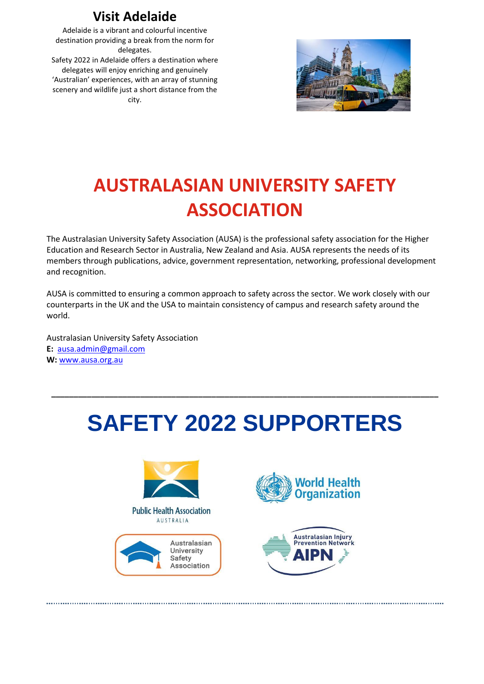#### **Visit Adelaide**

Adelaide is a vibrant and colourful incentive destination providing a break from the norm for delegates.

Safety 2022 in Adelaide offers a destination where delegates will enjoy enriching and genuinely 'Australian' experiences, with an array of stunning scenery and wildlife just a short distance from the city.



### **AUSTRALASIAN UNIVERSITY SAFETY ASSOCIATION**

The Australasian University Safety Association (AUSA) is the professional safety association for the Higher Education and Research Sector in Australia, New Zealand and Asia. AUSA represents the needs of its members through publications, advice, government representation, networking, professional development and recognition.

AUSA is committed to ensuring a common approach to safety across the sector. We work closely with our counterparts in the UK and the USA to maintain consistency of campus and research safety around the world.

Australasian University Safety Association **E:** [ausa.admin@gmail.com](mailto:ausa.admin@gmail.com) **W:** [www.ausa.org.au](http://www.ausa.org.au/)

# **SAFETY 2022 SUPPORTERS**

**\_\_\_\_\_\_\_\_\_\_\_\_\_\_\_\_\_\_\_\_\_\_\_\_\_\_\_\_\_\_\_\_\_\_\_\_\_\_\_\_\_\_\_\_\_\_\_\_\_\_\_\_\_\_\_\_\_\_\_\_\_\_\_\_\_\_\_\_\_\_\_\_\_\_\_\_\_\_\_\_\_\_\_\_\_\_\_**



**Public Health Association** AUSTRALIA